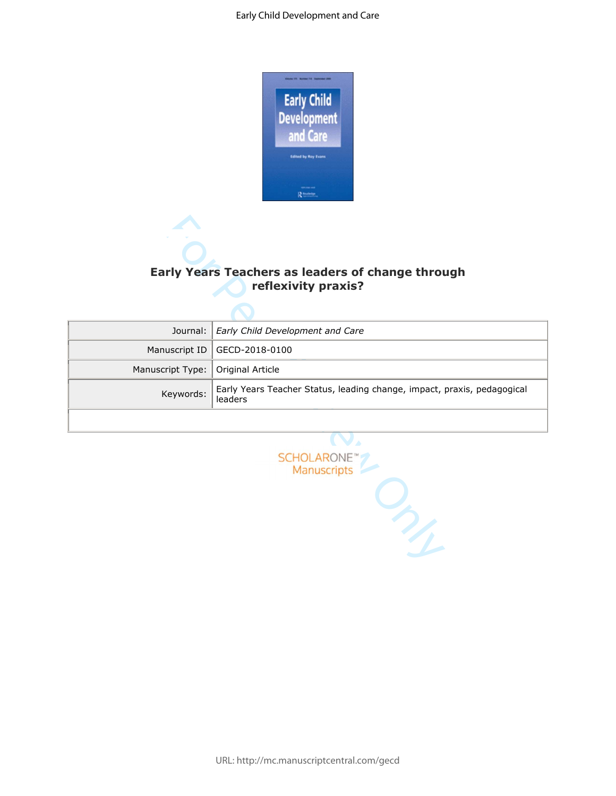

# **Early Years Teachers as leaders of change through reflexivity praxis?**

|                  | <b>Early Years Teachers as leaders of change through</b><br>reflexivity praxis?    |  |  |
|------------------|------------------------------------------------------------------------------------|--|--|
| Journal:         | Early Child Development and Care                                                   |  |  |
| Manuscript ID    | GECD-2018-0100                                                                     |  |  |
| Manuscript Type: | Original Article                                                                   |  |  |
| Keywords:        | Early Years Teacher Status, leading change, impact, praxis, pedagogical<br>leaders |  |  |
|                  |                                                                                    |  |  |
|                  | SCHOLARONE<br>Manuscripts<br>7                                                     |  |  |

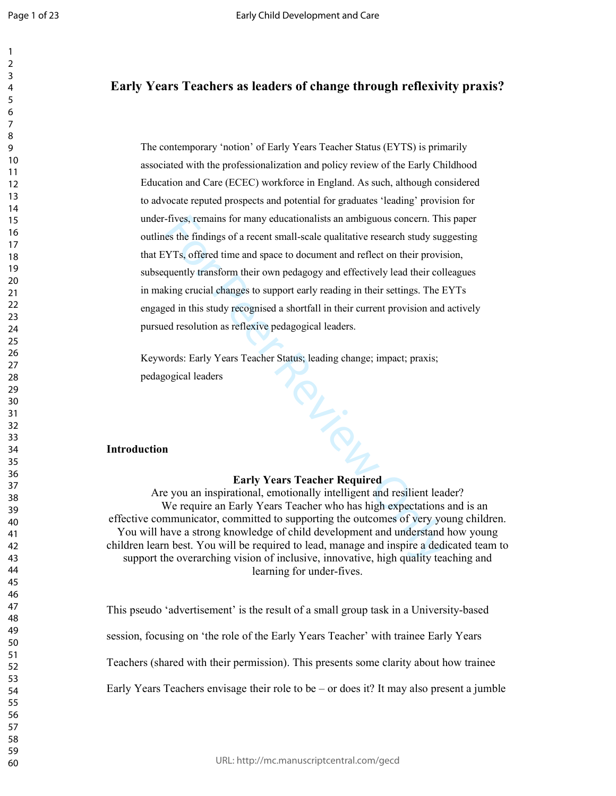## **Early Years Teachers as leaders of change through reflexivity praxis?**

The contemporary 'notion' of Early Years Teacher Status (EYTS) is primarily associated with the professionalization and policy review of the Early Childhood Education and Care (ECEC) workforce in England. As such, although considered to advocate reputed prospects and potential for graduates 'leading' provision for under-fives, remains for many educationalists an ambiguous concern. This paper outlines the findings of a recent small-scale qualitative research study suggesting that EYTs, offered time and space to document and reflect on their provision, subsequently transform their own pedagogy and effectively lead their colleagues in making crucial changes to support early reading in their settings. The EYTs engaged in this study recognised a shortfall in their current provision and actively pursued resolution as reflexive pedagogical leaders.

For Peer Review Only Keywords: Early Years Teacher Status; leading change; impact; praxis; pedagogical leaders

#### **Introduction**

### **Early Years Teacher Required**

Are you an inspirational, emotionally intelligent and resilient leader? We require an Early Years Teacher who has high expectations and is an effective communicator, committed to supporting the outcomes of very young children. You will have a strong knowledge of child development and understand how young children learn best. You will be required to lead, manage and inspire a dedicated team to support the overarching vision of inclusive, innovative, high quality teaching and learning for under-fives.

This pseudo 'advertisement' is the result of a small group task in a University-based session, focusing on 'the role of the Early Years Teacher' with trainee Early Years Teachers (shared with their permission). This presents some clarity about how trainee Early Years Teachers envisage their role to be – or does it? It may also present a jumble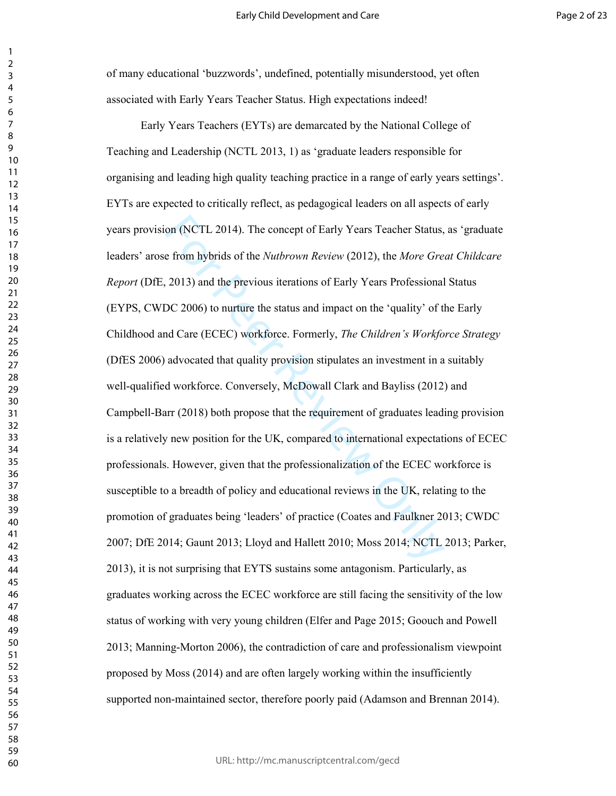of many educational 'buzzwords', undefined, potentially misunderstood, yet often associated with Early Years Teacher Status. High expectations indeed!

on (NCTL 2014). The concept of Early Years Teacher Status,<br>e from hybrids of the *Nutbrown Review* (2012), the *More Gree*<br>2013) and the previous iterations of Early Years Professional<br>DC 2006) to nurture the status and im Early Years Teachers (EYTs) are demarcated by the National College of Teaching and Leadership (NCTL 2013, 1) as 'graduate leaders responsible for organising and leading high quality teaching practice in a range of early years settings'. EYTs are expected to critically reflect, as pedagogical leaders on all aspects of early years provision (NCTL 2014). The concept of Early Years Teacher Status, as 'graduate leaders' arose from hybrids of the *Nutbrown Review* (2012), the *More Great Childcare Report* (DfE, 2013) and the previous iterations of Early Years Professional Status (EYPS, CWDC 2006) to nurture the status and impact on the 'quality' of the Early Childhood and Care (ECEC) workforce. Formerly, *The Children's Workforce Strategy* (DfES 2006) advocated that quality provision stipulates an investment in a suitably well-qualified workforce. Conversely, McDowall Clark and Bayliss (2012) and Campbell-Barr (2018) both propose that the requirement of graduates leading provision is a relatively new position for the UK, compared to international expectations of ECEC professionals. However, given that the professionalization of the ECEC workforce is susceptible to a breadth of policy and educational reviews in the UK, relating to the promotion of graduates being 'leaders' of practice (Coates and Faulkner 2013; CWDC 2007; DfE 2014; Gaunt 2013; Lloyd and Hallett 2010; Moss 2014; NCTL 2013; Parker, 2013), it is not surprising that EYTS sustains some antagonism. Particularly, as graduates working across the ECEC workforce are still facing the sensitivity of the low status of working with very young children (Elfer and Page 2015; Goouch and Powell 2013; Manning-Morton 2006), the contradiction of care and professionalism viewpoint proposed by Moss (2014) and are often largely working within the insufficiently supported non-maintained sector, therefore poorly paid (Adamson and Brennan 2014).

 $\mathbf{1}$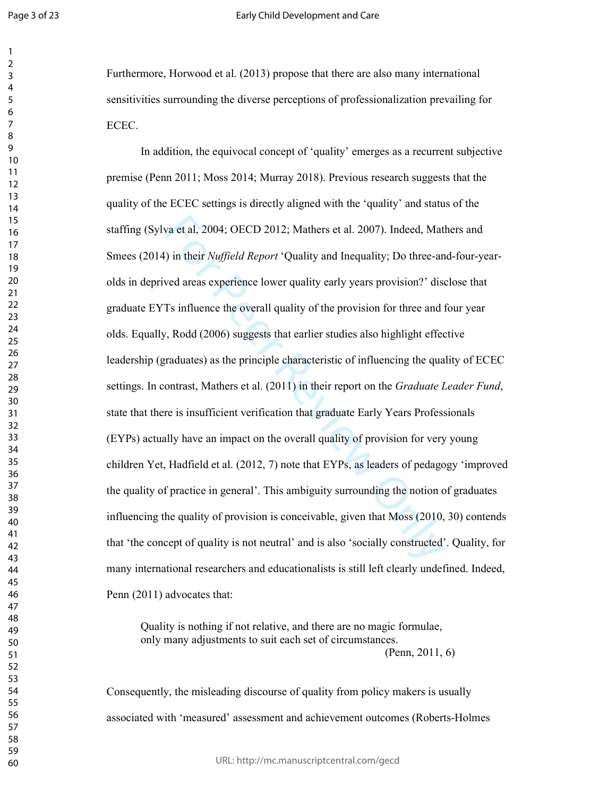$\mathbf{1}$  $\overline{2}$  $\overline{4}$  $\overline{7}$ 

#### Early Child Development and Care

Furthermore, Horwood et al. (2013) propose that there are also many international sensitivities surrounding the diverse perceptions of professionalization prevailing for ECEC.

va et al, 2004; OECD 2012; Mathers et al. 2007). Indeed, Mat<br>
) in their *Nuffield Report* 'Quality and Inequality; Do three-an<br>
ved areas experience lower quality early years provision?' dist<br>
Ts influence the overall qua In addition, the equivocal concept of 'quality' emerges as a recurrent subjective premise (Penn 2011; Moss 2014; Murray 2018). Previous research suggests that the quality of the ECEC settings is directly aligned with the 'quality' and status of the staffing (Sylva et al, 2004; OECD 2012; Mathers et al. 2007). Indeed, Mathers and Smees (2014) in their *Nuffield Report* 'Quality and Inequality; Do three-and-four-yearolds in deprived areas experience lower quality early years provision?' disclose that graduate EYTs influence the overall quality of the provision for three and four year olds. Equally, Rodd (2006) suggests that earlier studies also highlight effective leadership (graduates) as the principle characteristic of influencing the quality of ECEC settings. In contrast, Mathers et al. (2011) in their report on the *Graduate Leader Fund*, state that there is insufficient verification that graduate Early Years Professionals (EYPs) actually have an impact on the overall quality of provision for very young children Yet, Hadfield et al. (2012, 7) note that EYPs, as leaders of pedagogy 'improved the quality of practice in general'. This ambiguity surrounding the notion of graduates influencing the quality of provision is conceivable, given that Moss (2010, 30) contends that 'the concept of quality is not neutral' and is also 'socially constructed'. Quality, for many international researchers and educationalists is still left clearly undefined. Indeed, Penn (2011) advocates that:

Quality is nothing if not relative, and there are no magic formulae, only many adjustments to suit each set of circumstances.

(Penn, 2011, 6)

Consequently, the misleading discourse of quality from policy makers is usually associated with 'measured' assessment and achievement outcomes (Roberts-Holmes

URL: http://mc.manuscriptcentral.com/gecd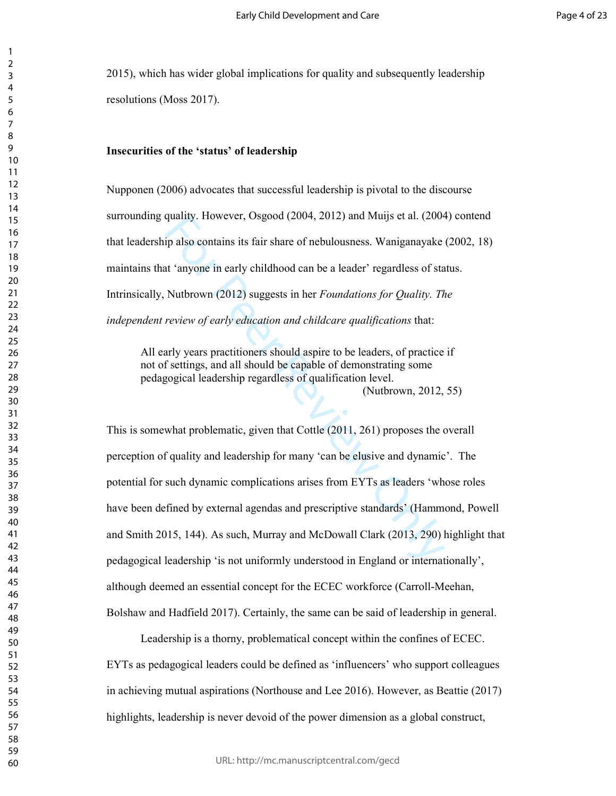2015), which has wider global implications for quality and subsequently leadership resolutions (Moss 2017).

#### **Insecurities of the 'status' of leadership**

Nupponen (2006) advocates that successful leadership is pivotal to the discourse surrounding quality. However, Osgood (2004, 2012) and Muijs et al. (2004) contend that leadership also contains its fair share of nebulousness. Waniganayake (2002, 18) maintains that 'anyone in early childhood can be a leader' regardless of status. Intrinsically, Nutbrown (2012) suggests in her *Foundations for Quality. The independent review of early education and childcare qualifications* that:

All early years practitioners should aspire to be leaders, of practice if not of settings, and all should be capable of demonstrating some pedagogical leadership regardless of qualification level. (Nutbrown, 2012, 55)

quality. However, Osgood (2004, 2012) and Muljs et al. (2004)<br>ip also contains its fair share of nebulousness. Waniganayake<br>it 'anyone in early childhood can be a leader' regardless of sta<br>Nutbrown (2012) suggests in her This is somewhat problematic, given that Cottle (2011, 261) proposes the overall perception of quality and leadership for many 'can be elusive and dynamic'. The potential for such dynamic complications arises from EYTs as leaders 'whose roles have been defined by external agendas and prescriptive standards' (Hammond, Powell and Smith 2015, 144). As such, Murray and McDowall Clark (2013, 290) highlight that pedagogical leadership 'is not uniformly understood in England or internationally', although deemed an essential concept for the ECEC workforce (Carroll-Meehan, Bolshaw and Hadfield 2017). Certainly, the same can be said of leadership in general.

Leadership is a thorny, problematical concept within the confines of ECEC. EYTs as pedagogical leaders could be defined as 'influencers' who support colleagues in achieving mutual aspirations (Northouse and Lee 2016). However, as Beattie (2017) highlights, leadership is never devoid of the power dimension as a global construct,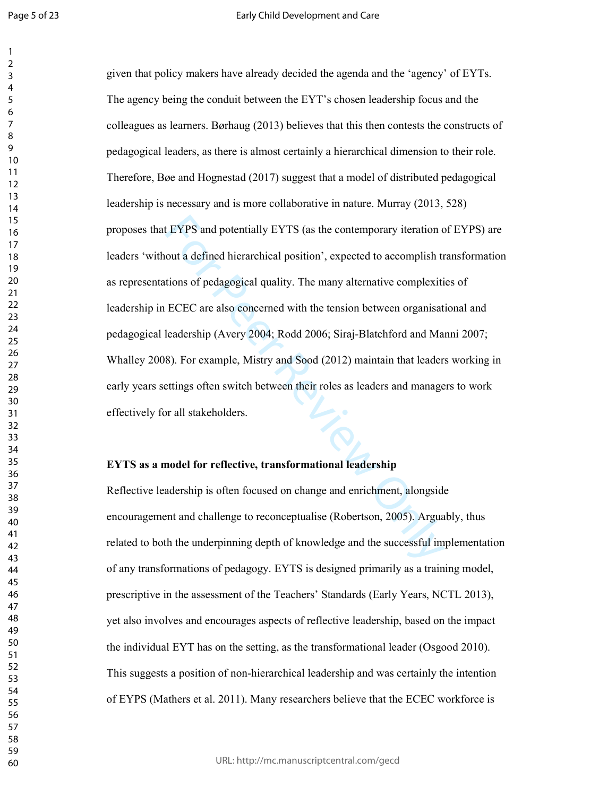$\mathbf{1}$ 

EYPS and potentially EYTS (as the contemporary iteration c<br>out a defined hierarchical position', expected to accomplish tr<br>tions of pedagogical quality. The many alternative complexiti<br>ECEC are also concerned with the tens given that policy makers have already decided the agenda and the 'agency' of EYTs. The agency being the conduit between the EYT's chosen leadership focus and the colleagues as learners. Børhaug (2013) believes that this then contests the constructs of pedagogical leaders, as there is almost certainly a hierarchical dimension to their role. Therefore, Bøe and Hognestad (2017) suggest that a model of distributed pedagogical leadership is necessary and is more collaborative in nature. Murray (2013, 528) proposes that EYPS and potentially EYTS (as the contemporary iteration of EYPS) are leaders 'without a defined hierarchical position', expected to accomplish transformation as representations of pedagogical quality. The many alternative complexities of leadership in ECEC are also concerned with the tension between organisational and pedagogical leadership (Avery 2004; Rodd 2006; Siraj-Blatchford and Manni 2007; Whalley 2008). For example, Mistry and Sood (2012) maintain that leaders working in early years settings often switch between their roles as leaders and managers to work effectively for all stakeholders.

## **EYTS as a model for reflective, transformational leadership**

Reflective leadership is often focused on change and enrichment, alongside encouragement and challenge to reconceptualise (Robertson, 2005). Arguably, thus related to both the underpinning depth of knowledge and the successful implementation of any transformations of pedagogy. EYTS is designed primarily as a training model, prescriptive in the assessment of the Teachers' Standards (Early Years, NCTL 2013), yet also involves and encourages aspects of reflective leadership, based on the impact the individual EYT has on the setting, as the transformational leader (Osgood 2010). This suggests a position of non-hierarchical leadership and was certainly the intention of EYPS (Mathers et al. 2011). Many researchers believe that the ECEC workforce is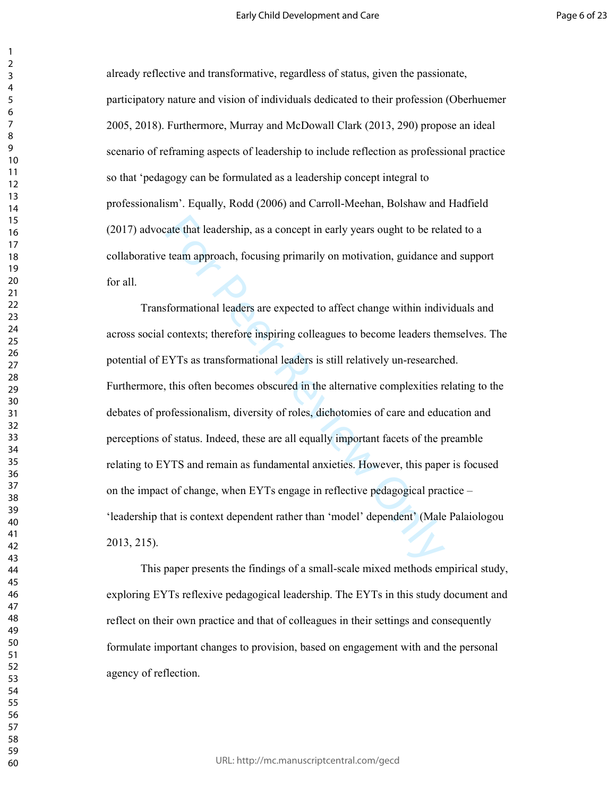already reflective and transformative, regardless of status, given the passionate, participatory nature and vision of individuals dedicated to their profession (Oberhuemer 2005, 2018). Furthermore, Murray and McDowall Clark (2013, 290) propose an ideal scenario of reframing aspects of leadership to include reflection as professional practice so that 'pedagogy can be formulated as a leadership concept integral to professionalism'. Equally, Rodd (2006) and Carroll-Meehan, Bolshaw and Hadfield (2017) advocate that leadership, as a concept in early years ought to be related to a collaborative team approach, focusing primarily on motivation, guidance and support for all.

rate that leadership, as a concept in early years ought to be related team approach, focusing primarily on motivation, guidance a team approach, focusing primarily on motivation, guidance a sformational leaders are expecte Transformational leaders are expected to affect change within individuals and across social contexts; therefore inspiring colleagues to become leaders themselves. The potential of EYTs as transformational leaders is still relatively un-researched. Furthermore, this often becomes obscured in the alternative complexities relating to the debates of professionalism, diversity of roles, dichotomies of care and education and perceptions of status. Indeed, these are all equally important facets of the preamble relating to EYTS and remain as fundamental anxieties. However, this paper is focused on the impact of change, when EYTs engage in reflective pedagogical practice – 'leadership that is context dependent rather than 'model' dependent' (Male Palaiologou 2013, 215).

This paper presents the findings of a small-scale mixed methods empirical study, exploring EYTs reflexive pedagogical leadership. The EYTs in this study document and reflect on their own practice and that of colleagues in their settings and consequently formulate important changes to provision, based on engagement with and the personal agency of reflection.

 $\mathbf{1}$  $\overline{2}$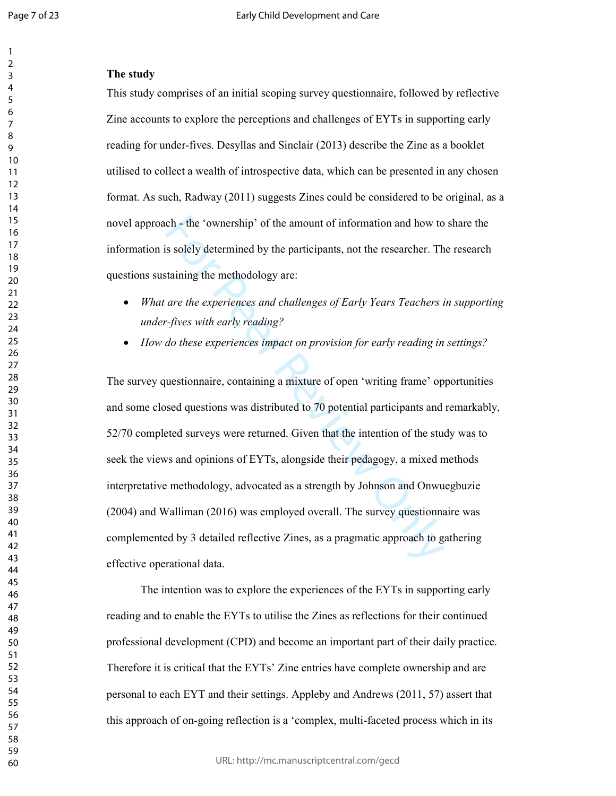### $\mathbf{1}$   $\overline{2}$  $\overline{7}$

## **The study**

This study comprises of an initial scoping survey questionnaire, followed by reflective Zine accounts to explore the perceptions and challenges of EYTs in supporting early reading for under-fives. Desyllas and Sinclair (2013) describe the Zine as a booklet utilised to collect a wealth of introspective data, which can be presented in any chosen format. As such, Radway (2011) suggests Zines could be considered to be original, as a novel approach - the 'ownership' of the amount of information and how to share the information is solely determined by the participants, not the researcher. The research questions sustaining the methodology are:

- *What are the experiences and challenges of Early Years Teachers in supporting under-fives with early reading?*
- *How do these experiences impact on provision for early reading in settings?*

ch - the 'ownership' of the amount of information and how to<br>is solely determined by the participants, not the researcher. Th<br>taining the methodology are:<br>are the experiences and challenges of Early Years Teachers i<br>fives The survey questionnaire, containing a mixture of open 'writing frame' opportunities and some closed questions was distributed to 70 potential participants and remarkably, 52/70 completed surveys were returned. Given that the intention of the study was to seek the views and opinions of EYTs, alongside their pedagogy, a mixed methods interpretative methodology, advocated as a strength by Johnson and Onwuegbuzie (2004) and Walliman (2016) was employed overall. The survey questionnaire was complemented by 3 detailed reflective Zines, as a pragmatic approach to gathering effective operational data.

The intention was to explore the experiences of the EYTs in supporting early reading and to enable the EYTs to utilise the Zines as reflections for their continued professional development (CPD) and become an important part of their daily practice. Therefore it is critical that the EYTs' Zine entries have complete ownership and are personal to each EYT and their settings. Appleby and Andrews (2011, 57) assert that this approach of on-going reflection is a 'complex, multi-faceted process which in its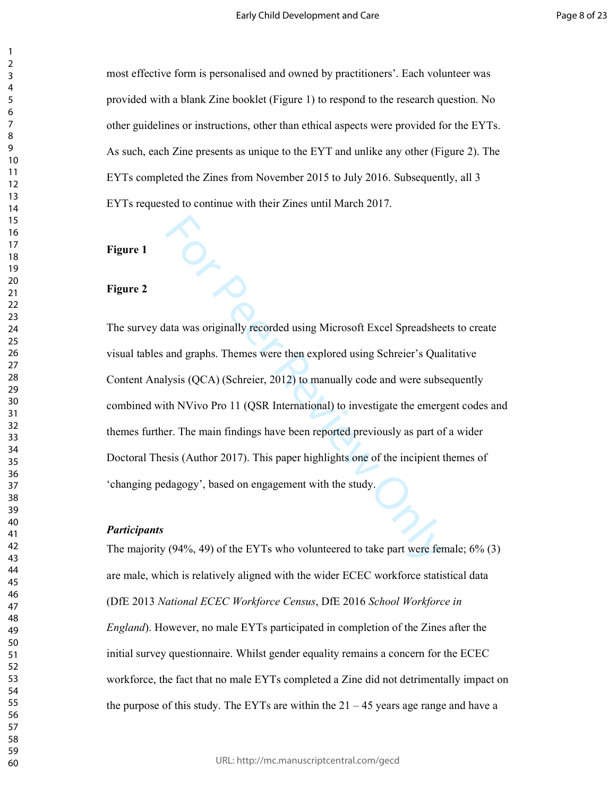most effective form is personalised and owned by practitioners'. Each volunteer was provided with a blank Zine booklet (Figure 1) to respond to the research question. No other guidelines or instructions, other than ethical aspects were provided for the EYTs. As such, each Zine presents as unique to the EYT and unlike any other (Figure 2). The EYTs completed the Zines from November 2015 to July 2016. Subsequently, all 3 EYTs requested to continue with their Zines until March 2017.

**Figure 1** 

### **Figure 2**

ata was originally recorded using Microsoft Excel Spreadshee<br>and graphs. Themes were then explored using Schreier's Qua<br>lysis (QCA) (Schreier, 2012) to manually code and were subset<br>th NVivo Pro 11 (QSR International) to i The survey data was originally recorded using Microsoft Excel Spreadsheets to create visual tables and graphs. Themes were then explored using Schreier's Qualitative Content Analysis (QCA) (Schreier, 2012) to manually code and were subsequently combined with NVivo Pro 11 (QSR International) to investigate the emergent codes and themes further. The main findings have been reported previously as part of a wider Doctoral Thesis (Author 2017). This paper highlights one of the incipient themes of 'changing pedagogy', based on engagement with the study.

#### *Participants*

The majority (94%, 49) of the EYTs who volunteered to take part were female;  $6\%$  (3) are male, which is relatively aligned with the wider ECEC workforce statistical data (DfE 2013 *National ECEC Workforce Census*, DfE 2016 *School Workforce in England*). However, no male EYTs participated in completion of the Zines after the initial survey questionnaire. Whilst gender equality remains a concern for the ECEC workforce, the fact that no male EYTs completed a Zine did not detrimentally impact on the purpose of this study. The EYTs are within the  $21 - 45$  years age range and have a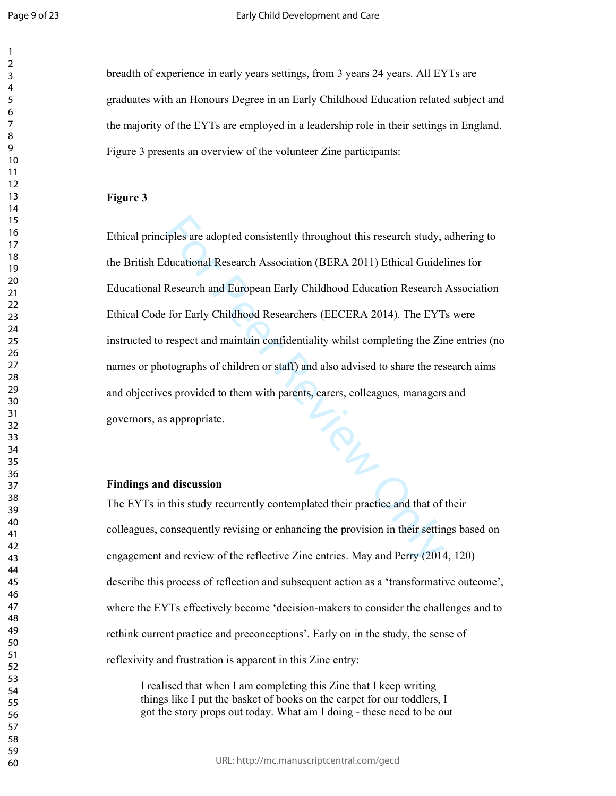$\mathbf{1}$  $\overline{2}$  $\overline{4}$  $\overline{7}$ 

breadth of experience in early years settings, from 3 years 24 years. All EYTs are graduates with an Honours Degree in an Early Childhood Education related subject and the majority of the EYTs are employed in a leadership role in their settings in England. Figure 3 presents an overview of the volunteer Zine participants:

#### **Figure 3**

iples are adopted consistently throughout this research study, in ducational Research Association (BERA 2011) Ethical Guidel<br>Research and European Early Childhood Education Research<br>for Early Childhood Researchers (EECERA Ethical principles are adopted consistently throughout this research study, adhering to the British Educational Research Association (BERA 2011) Ethical Guidelines for Educational Research and European Early Childhood Education Research Association Ethical Code for Early Childhood Researchers (EECERA 2014). The EYTs were instructed to respect and maintain confidentiality whilst completing the Zine entries (no names or photographs of children or staff) and also advised to share the research aims and objectives provided to them with parents, carers, colleagues, managers and governors, as appropriate.

#### **Findings and discussion**

The EYTs in this study recurrently contemplated their practice and that of their colleagues, consequently revising or enhancing the provision in their settings based on engagement and review of the reflective Zine entries. May and Perry (2014, 120) describe this process of reflection and subsequent action as a 'transformative outcome', where the EYTs effectively become 'decision-makers to consider the challenges and to rethink current practice and preconceptions'. Early on in the study, the sense of reflexivity and frustration is apparent in this Zine entry:

I realised that when I am completing this Zine that I keep writing things like I put the basket of books on the carpet for our toddlers, I got the story props out today. What am I doing - these need to be out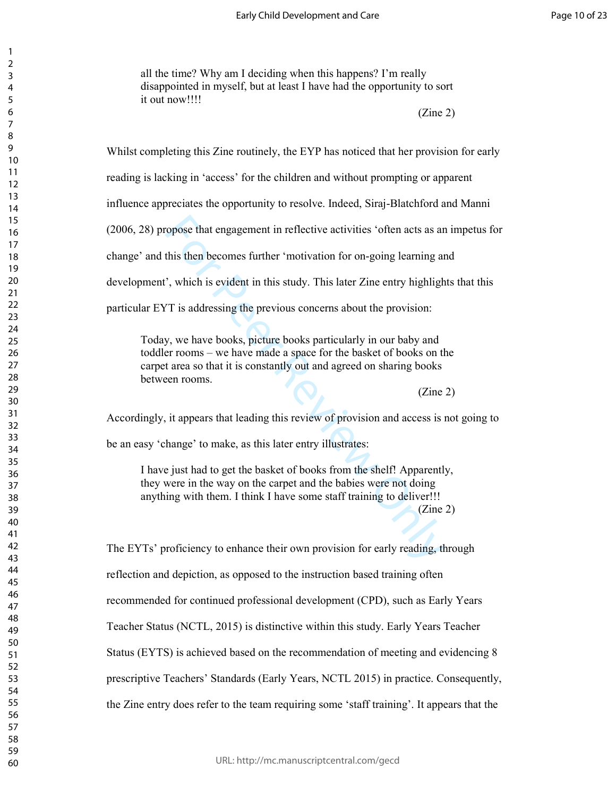all the time? Why am I deciding when this happens? I'm really disappointed in myself, but at least I have had the opportunity to sort it out now!!!!

(Zine 2)

Whilst completing this Zine routinely, the EYP has noticed that her provision for early

reading is lacking in 'access' for the children and without prompting or apparent

influence appreciates the opportunity to resolve. Indeed, Siraj-Blatchford and Manni

(2006, 28) propose that engagement in reflective activities 'often acts as an impetus for

change' and this then becomes further 'motivation for on-going learning and

development', which is evident in this study. This later Zine entry highlights that this

particular EYT is addressing the previous concerns about the provision:

represent in reflective activities 'often acts as an this then becomes further 'motivation for on-going learning an<br>
7, which is evident in this study. This later Zine entry highligh<br>
7 is addressing the previous concerns Today, we have books, picture books particularly in our baby and toddler rooms – we have made a space for the basket of books on the carpet area so that it is constantly out and agreed on sharing books between rooms.

(Zine 2)

Accordingly, it appears that leading this review of provision and access is not going to

be an easy 'change' to make, as this later entry illustrates:

I have just had to get the basket of books from the shelf! Apparently, they were in the way on the carpet and the babies were not doing anything with them. I think I have some staff training to deliver!!!

(Zine 2)

The EYTs' proficiency to enhance their own provision for early reading, through reflection and depiction, as opposed to the instruction based training often recommended for continued professional development (CPD), such as Early Years Teacher Status (NCTL, 2015) is distinctive within this study. Early Years Teacher Status (EYTS) is achieved based on the recommendation of meeting and evidencing 8 prescriptive Teachers' Standards (Early Years, NCTL 2015) in practice. Consequently, the Zine entry does refer to the team requiring some 'staff training'. It appears that the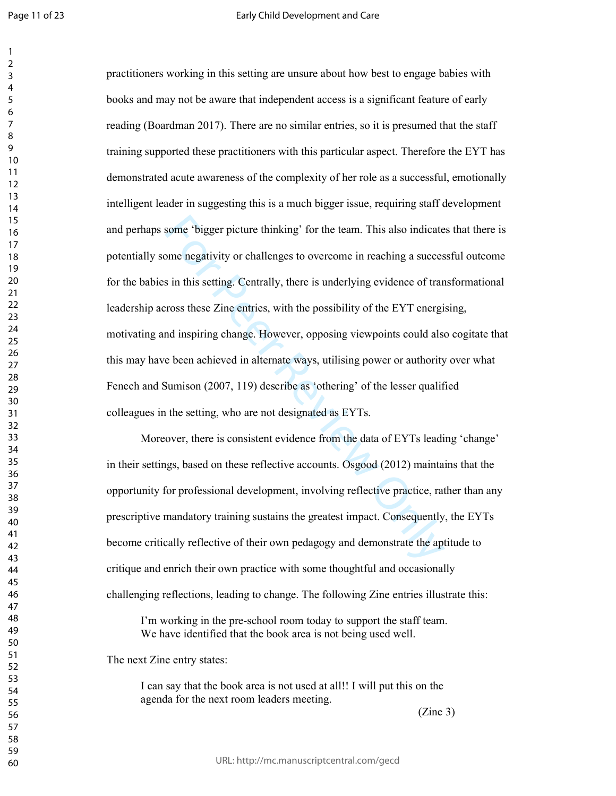$\mathbf{1}$ 

some 'bigger picture thinking' for the team. This also indicate<br>ome negativity or challenges to overcome in reaching a success<br>in this setting. Centrally, there is underlying evidence of tran<br>ross these Zine entries, with practitioners working in this setting are unsure about how best to engage babies with books and may not be aware that independent access is a significant feature of early reading (Boardman 2017). There are no similar entries, so it is presumed that the staff training supported these practitioners with this particular aspect. Therefore the EYT has demonstrated acute awareness of the complexity of her role as a successful, emotionally intelligent leader in suggesting this is a much bigger issue, requiring staff development and perhaps some 'bigger picture thinking' for the team. This also indicates that there is potentially some negativity or challenges to overcome in reaching a successful outcome for the babies in this setting. Centrally, there is underlying evidence of transformational leadership across these Zine entries, with the possibility of the EYT energising, motivating and inspiring change. However, opposing viewpoints could also cogitate that this may have been achieved in alternate ways, utilising power or authority over what Fenech and Sumison (2007, 119) describe as 'othering' of the lesser qualified colleagues in the setting, who are not designated as EYTs.

Moreover, there is consistent evidence from the data of EYTs leading 'change' in their settings, based on these reflective accounts. Osgood (2012) maintains that the opportunity for professional development, involving reflective practice, rather than any prescriptive mandatory training sustains the greatest impact. Consequently, the EYTs become critically reflective of their own pedagogy and demonstrate the aptitude to critique and enrich their own practice with some thoughtful and occasionally challenging reflections, leading to change. The following Zine entries illustrate this:

I'm working in the pre-school room today to support the staff team. We have identified that the book area is not being used well.

The next Zine entry states:

I can say that the book area is not used at all!! I will put this on the agenda for the next room leaders meeting.

(Zine 3)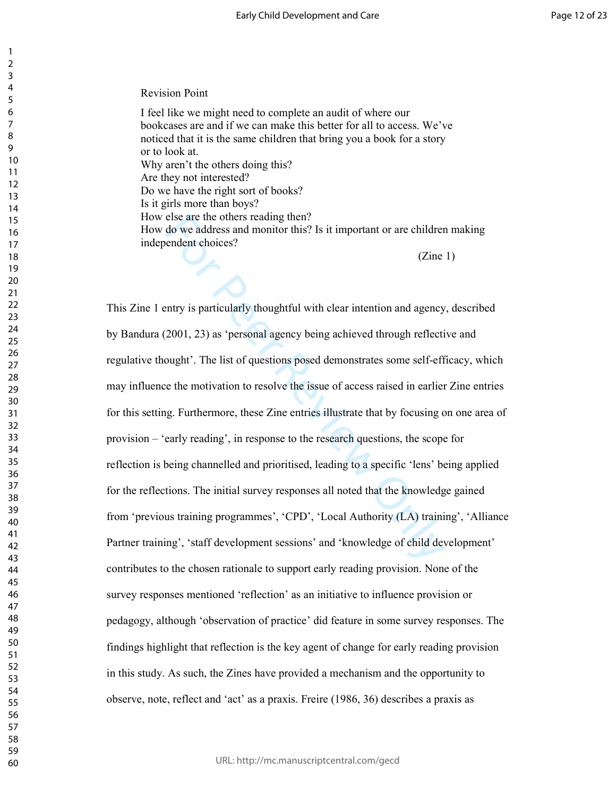Revision Point

I feel like we might need to complete an audit of where our bookcases are and if we can make this better for all to access. We've noticed that it is the same children that bring you a book for a story or to look at. Why aren't the others doing this? Are they not interested? Do we have the right sort of books? Is it girls more than boys? How else are the others reading then? How do we address and monitor this? Is it important or are children making independent choices? (Zine 1)

else are the others reading then?<br>
do we address and monitor this? Is it important or are childrer<br>
endent choices?<br>
(Zine<br>
endent choices?<br>
(Zine<br>
endent choices?<br>
(Zine<br>
endent choices?<br>
(Zine<br>
endent choices?<br>
(Zine<br>
en This Zine 1 entry is particularly thoughtful with clear intention and agency, described by Bandura (2001, 23) as 'personal agency being achieved through reflective and regulative thought'. The list of questions posed demonstrates some self-efficacy, which may influence the motivation to resolve the issue of access raised in earlier Zine entries for this setting. Furthermore, these Zine entries illustrate that by focusing on one area of provision – 'early reading', in response to the research questions, the scope for reflection is being channelled and prioritised, leading to a specific 'lens' being applied for the reflections. The initial survey responses all noted that the knowledge gained from 'previous training programmes', 'CPD', 'Local Authority (LA) training', 'Alliance Partner training', 'staff development sessions' and 'knowledge of child development' contributes to the chosen rationale to support early reading provision. None of the survey responses mentioned 'reflection' as an initiative to influence provision or pedagogy, although 'observation of practice' did feature in some survey responses. The findings highlight that reflection is the key agent of change for early reading provision in this study. As such, the Zines have provided a mechanism and the opportunity to observe, note, reflect and 'act' as a praxis. Freire (1986, 36) describes a praxis as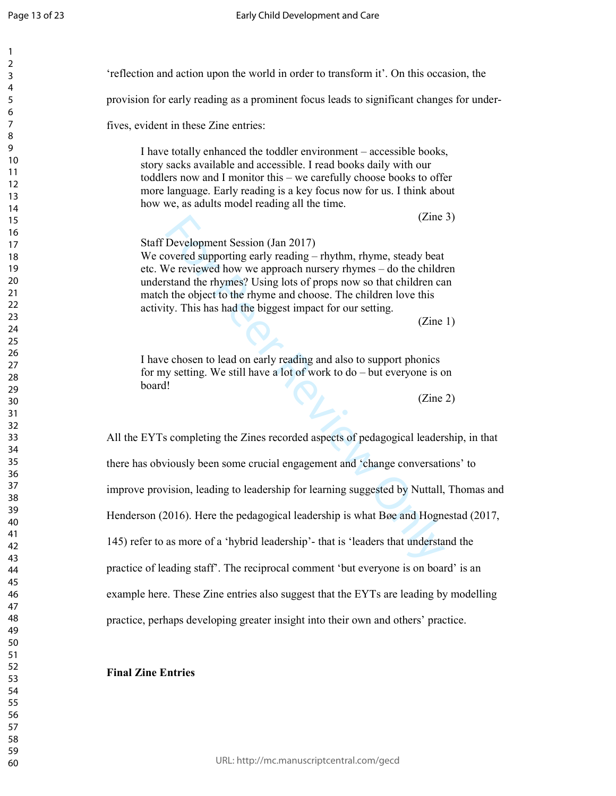$\mathbf{1}$  $\overline{2}$  $\mathsf{3}$  $\overline{4}$ 5  $\boldsymbol{6}$  $\overline{7}$ 8 9

|                                                            | 'reflection and action upon the world in order to transform it'. On this occasion, the                                                                                                                                                                                                    |
|------------------------------------------------------------|-------------------------------------------------------------------------------------------------------------------------------------------------------------------------------------------------------------------------------------------------------------------------------------------|
|                                                            | provision for early reading as a prominent focus leads to significant changes for under-                                                                                                                                                                                                  |
| fives, evident in these Zine entries:                      |                                                                                                                                                                                                                                                                                           |
| how we, as adults model reading all the time.              | I have totally enhanced the toddler environment – accessible books,<br>story sacks available and accessible. I read books daily with our<br>toddlers now and I monitor this - we carefully choose books to offer<br>more language. Early reading is a key focus now for us. I think about |
|                                                            | (Zine 3)                                                                                                                                                                                                                                                                                  |
| Staff Development Session (Jan 2017)                       |                                                                                                                                                                                                                                                                                           |
| activity. This has had the biggest impact for our setting. | We covered supporting early reading – rhythm, rhyme, steady beat<br>etc. We reviewed how we approach nursery rhymes – do the children<br>understand the rhymes? Using lots of props now so that children can<br>match the object to the rhyme and choose. The children love this          |
|                                                            | (Zine 1)                                                                                                                                                                                                                                                                                  |
|                                                            |                                                                                                                                                                                                                                                                                           |
|                                                            | I have chosen to lead on early reading and also to support phonics                                                                                                                                                                                                                        |
|                                                            | for my setting. We still have a lot of work to $do$ – but everyone is on                                                                                                                                                                                                                  |
| board!                                                     |                                                                                                                                                                                                                                                                                           |
|                                                            | (Zine 2)                                                                                                                                                                                                                                                                                  |
|                                                            | All the EYTs completing the Zines recorded aspects of pedagogical leadership, in that                                                                                                                                                                                                     |
|                                                            | there has obviously been some crucial engagement and 'change conversations' to                                                                                                                                                                                                            |
|                                                            | improve provision, leading to leadership for learning suggested by Nuttall, Thomas and                                                                                                                                                                                                    |
|                                                            | Henderson (2016). Here the pedagogical leadership is what Bøe and Hognestad (2017,                                                                                                                                                                                                        |
|                                                            | 145) refer to as more of a 'hybrid leadership'- that is 'leaders that understand the                                                                                                                                                                                                      |
|                                                            | practice of leading staff'. The reciprocal comment 'but everyone is on board' is an                                                                                                                                                                                                       |
|                                                            |                                                                                                                                                                                                                                                                                           |
|                                                            | example here. These Zine entries also suggest that the EYTs are leading by modelling                                                                                                                                                                                                      |

## **Final Zine Entries**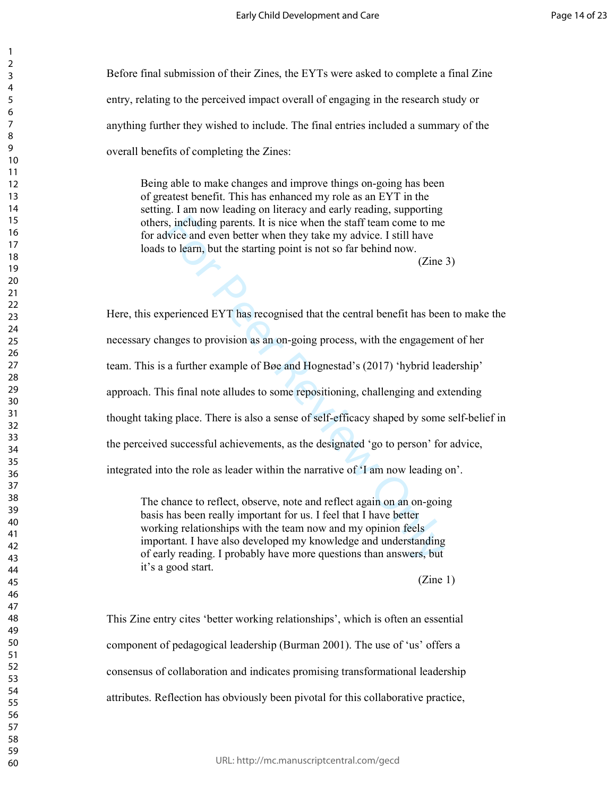Before final submission of their Zines, the EYTs were asked to complete a final Zine entry, relating to the perceived impact overall of engaging in the research study or anything further they wished to include. The final entries included a summary of the overall benefits of completing the Zines:

 Being able to make changes and improve things on-going has been of greatest benefit. This has enhanced my role as an EYT in the setting. I am now leading on literacy and early reading, supporting others, including parents. It is nice when the staff team come to me for advice and even better when they take my advice. I still have loads to learn, but the starting point is not so far behind now.

(Zine 3)

is, including parents. It is nice when the staff team come to me<br>so, including parents. It is nice when the staff team come to me<br>vice and even better when they take my advice. I still have<br>to learn, but the starting point Here, this experienced EYT has recognised that the central benefit has been to make the necessary changes to provision as an on-going process, with the engagement of her team. This is a further example of Bøe and Hognestad's (2017) 'hybrid leadership' approach. This final note alludes to some repositioning, challenging and extending thought taking place. There is also a sense of self-efficacy shaped by some self-belief in the perceived successful achievements, as the designated 'go to person' for advice, integrated into the role as leader within the narrative of 'I am now leading on'.

The chance to reflect, observe, note and reflect again on an on-going basis has been really important for us. I feel that I have better working relationships with the team now and my opinion feels important. I have also developed my knowledge and understanding of early reading. I probably have more questions than answers, but it's a good start.

 $(Zine 1)$ 

This Zine entry cites 'better working relationships', which is often an essential component of pedagogical leadership (Burman 2001). The use of 'us' offers a consensus of collaboration and indicates promising transformational leadership attributes. Reflection has obviously been pivotal for this collaborative practice,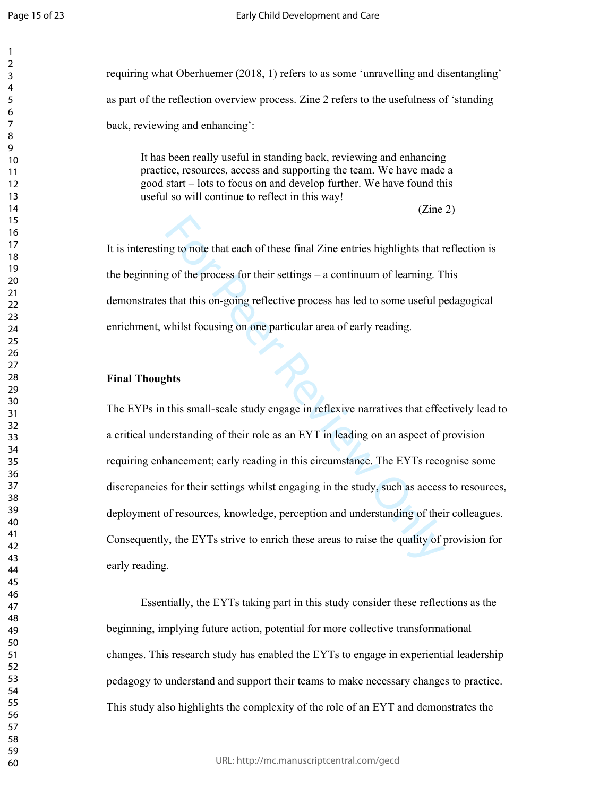$\mathbf{1}$  $\overline{2}$  $\overline{4}$  $\overline{7}$ 

requiring what Oberhuemer (2018, 1) refers to as some 'unravelling and disentangling' as part of the reflection overview process. Zine 2 refers to the usefulness of 'standing back, reviewing and enhancing':

It has been really useful in standing back, reviewing and enhancing practice, resources, access and supporting the team. We have made a good start – lots to focus on and develop further. We have found this useful so will continue to reflect in this way!

(Zine 2)

It is interesting to note that each of these final Zine entries highlights that reflection is the beginning of the process for their settings – a continuum of learning. This demonstrates that this on-going reflective process has led to some useful pedagogical enrichment, whilst focusing on one particular area of early reading.

### **Final Thoughts**

ng to note that each of these final Zine entries highlights that r<br>g of the process for their settings – a continuum of learning. T<br>is that this on-going reflective process has led to some useful p<br>whilst focusing on one p The EYPs in this small-scale study engage in reflexive narratives that effectively lead to a critical understanding of their role as an EYT in leading on an aspect of provision requiring enhancement; early reading in this circumstance. The EYTs recognise some discrepancies for their settings whilst engaging in the study, such as access to resources, deployment of resources, knowledge, perception and understanding of their colleagues. Consequently, the EYTs strive to enrich these areas to raise the quality of provision for early reading.

Essentially, the EYTs taking part in this study consider these reflections as the beginning, implying future action, potential for more collective transformational changes. This research study has enabled the EYTs to engage in experiential leadership pedagogy to understand and support their teams to make necessary changes to practice. This study also highlights the complexity of the role of an EYT and demonstrates the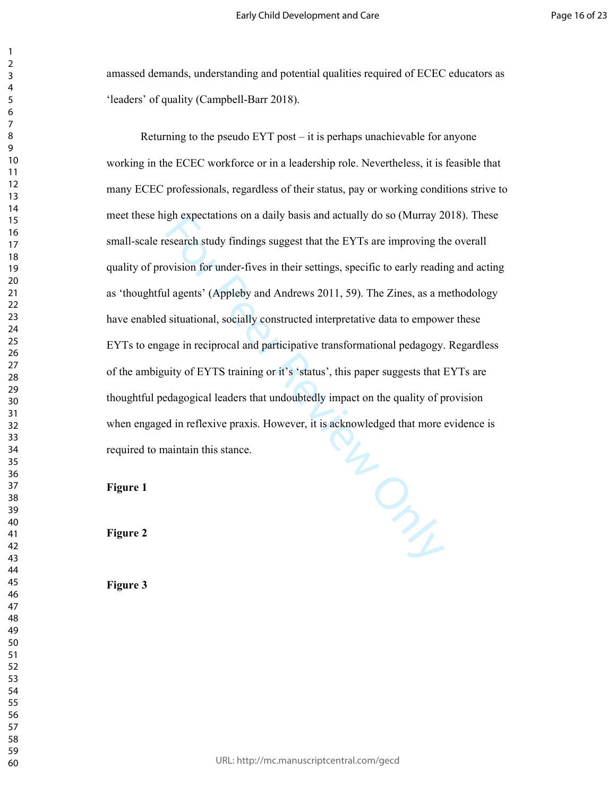amassed demands, understanding and potential qualities required of ECEC educators as 'leaders' of quality (Campbell-Barr 2018).

WONLED ONLY Returning to the pseudo EYT post – it is perhaps unachievable for anyone working in the ECEC workforce or in a leadership role. Nevertheless, it is feasible that many ECEC professionals, regardless of their status, pay or working conditions strive to meet these high expectations on a daily basis and actually do so (Murray 2018). These small-scale research study findings suggest that the EYTs are improving the overall quality of provision for under-fives in their settings, specific to early reading and acting as 'thoughtful agents' (Appleby and Andrews 2011, 59). The Zines, as a methodology have enabled situational, socially constructed interpretative data to empower these EYTs to engage in reciprocal and participative transformational pedagogy. Regardless of the ambiguity of EYTS training or it's 'status', this paper suggests that EYTs are thoughtful pedagogical leaders that undoubtedly impact on the quality of provision when engaged in reflexive praxis. However, it is acknowledged that more evidence is required to maintain this stance.

**Figure 1** 

 $\mathbf{1}$  $\overline{2}$  $\overline{4}$  $\overline{7}$ 

**Figure 2** 

**Figure 3**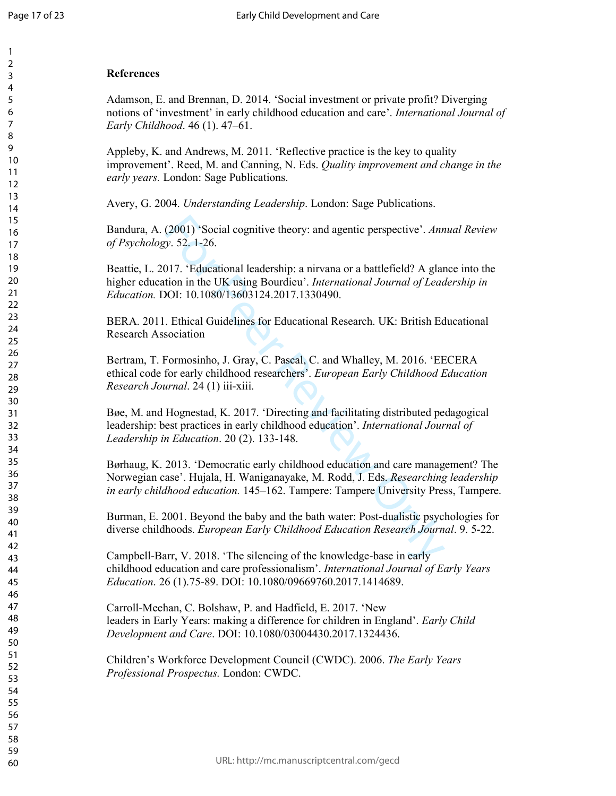$\mathbf{1}$  $\overline{2}$ 3  $\overline{4}$ 5 6  $\overline{7}$ 8 9

## **References**

Adamson, E. and Brennan, D. 2014. 'Social investment or private profit? Diverging notions of 'investment' in early childhood education and care'. *International Journal of Early Childhood*. 46 (1). 47–61.

Appleby, K. and Andrews, M. 2011. 'Reflective practice is the key to quality improvement'. Reed, M. and Canning, N. Eds. *Quality improvement and change in the early years.* London: Sage Publications.

Avery, G. 2004. *Understanding Leadership*. London: Sage Publications.

Bandura, A. (2001) 'Social cognitive theory: and agentic perspective'. *Annual Review of Psychology*. 52. 1-26.

Beattie, L. 2017. 'Educational leadership: a nirvana or a battlefield? A glance into the higher education in the UK using Bourdieu'. *International Journal of Leadership in Education.* DOI: 10.1080/13603124.2017.1330490.

BERA. 2011. Ethical Guidelines for Educational Research. UK: British Educational Research Association

Bertram, T. Formosinho, J. Gray, C. Pascal, C. and Whalley, M. 2016. 'EECERA ethical code for early childhood researchers'. *European Early Childhood Education Research Journal*. 24 (1) iii-xiii.

Bøe, M. and Hognestad, K. 2017. 'Directing and facilitating distributed pedagogical leadership: best practices in early childhood education'. *International Journal of Leadership in Education*. 20 (2). 133-148.

(2001) 'Social cognitive theory: and agentic perspective'. Anny. 52, 1-26.<br>
117. 'Educational leadership: a nirvana or a battlefield? A glar<br>
116. ILO is using Bourdieu'. International Journal of Lead<br>
10. ILO 1080/136031 Børhaug, K. 2013. 'Democratic early childhood education and care management? The Norwegian case'. Hujala, H. Waniganayake, M. Rodd, J. Eds. *Researching leadership in early childhood education.* 145–162. Tampere: Tampere University Press, Tampere.

Burman, E. 2001. Beyond the baby and the bath water: Post-dualistic psychologies for diverse childhoods. *European Early Childhood Education Research Journal*. 9. 5-22.

Campbell-Barr, V. 2018. 'The silencing of the knowledge-base in early childhood education and care professionalism'. *International Journal of Early Years Education*. 26 (1).75-89. DOI: 10.1080/09669760.2017.1414689.

Carroll-Meehan, C. Bolshaw, P. and Hadfield, E. 2017. 'New leaders in Early Years: making a difference for children in England'. *Early Child Development and Care*. DOI: 10.1080/03004430.2017.1324436.

Children's Workforce Development Council (CWDC). 2006. *The Early Years Professional Prospectus.* London: CWDC.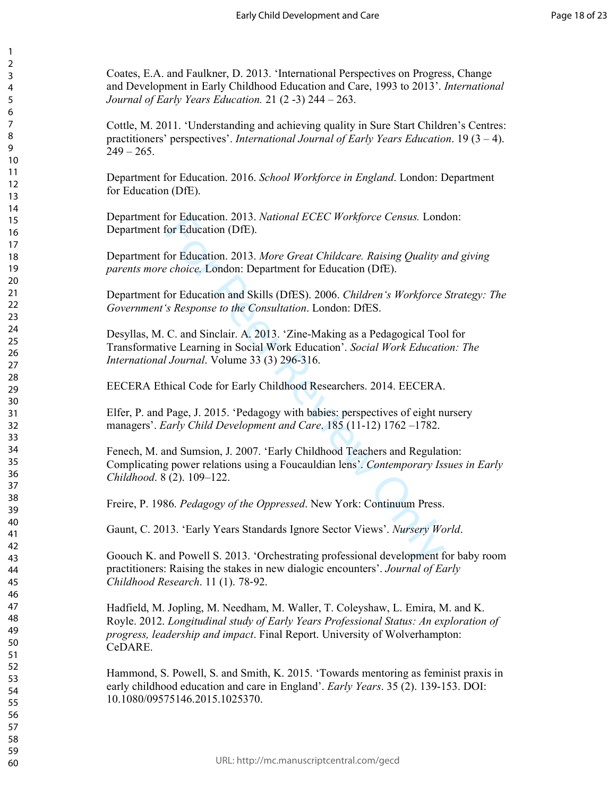Coates, E.A. and Faulkner, D. 2013. 'International Perspectives on Progress, Change and Development in Early Childhood Education and Care, 1993 to 2013'. *International Journal of Early Years Education.* 21 (2 -3) 244 – 263.

123456789

Cottle, M. 2011. 'Understanding and achieving quality in Sure Start Children's Centres: practitioners' perspectives'. *International Journal of Early Years Education*. 19 (3 – 4).  $249 - 265$ .

Department for Education. 2016. *School Workforce in England*. London: Department for Education (DfE).

Department for Education. 2013. *National ECEC Workforce Census.* London: Department for Education (DfE).

Department for Education. 2013. *More Great Childcare. Raising Quality and giving parents more choice.* London: Department for Education (DfE).

Department for Education and Skills (DfES). 2006. *Children's Workforce Strategy: The Government's Response to the Consultation*. London: DfES.

for Education. 2013. *National ECEC Workforce Census.* Lond<br>for Education (DfE).<br>for Education 2013. *More Great Childcare. Raising Quality a<br>choice.* London: Department for Education (DfE).<br>for Education and Skills (DfES) Desyllas, M. C. and Sinclair. A. 2013. 'Zine-Making as a Pedagogical Tool for Transformative Learning in Social Work Education'. *Social Work Education: The International Journal*. Volume 33 (3) 296-316.

EECERA Ethical Code for Early Childhood Researchers. 2014. EECERA.

Elfer, P. and Page, J. 2015. 'Pedagogy with babies: perspectives of eight nursery managers'. *Early Child Development and Care*. 185 (11-12) 1762 –1782.

Fenech, M. and Sumsion, J. 2007. 'Early Childhood Teachers and Regulation: Complicating power relations using a Foucauldian lens'. *Contemporary Issues in Early Childhood*. 8 (2). 109–122.

Freire, P. 1986. *Pedagogy of the Oppressed*. New York: Continuum Press.

Gaunt, C. 2013. 'Early Years Standards Ignore Sector Views'. *Nursery World*.

Goouch K. and Powell S. 2013. 'Orchestrating professional development for baby room practitioners: Raising the stakes in new dialogic encounters'. *Journal of Early Childhood Research*. 11 (1). 78 ‐92.

Hadfield, M. Jopling, M. Needham, M. Waller, T. Coleyshaw, L. Emira, M. and K. Royle. 2012. *Longitudinal study of Early Years Professional Status: An exploration of progress, leadership and impact*. Final Report. University of Wolverhampton: CeDARE.

Hammond, S. Powell, S. and Smith, K. 2015. 'Towards mentoring as feminist praxis in early childhood education and care in England'. *Early Years*. 35 (2). 139-153. DOI: 10.1080/09575146.2015.1025370.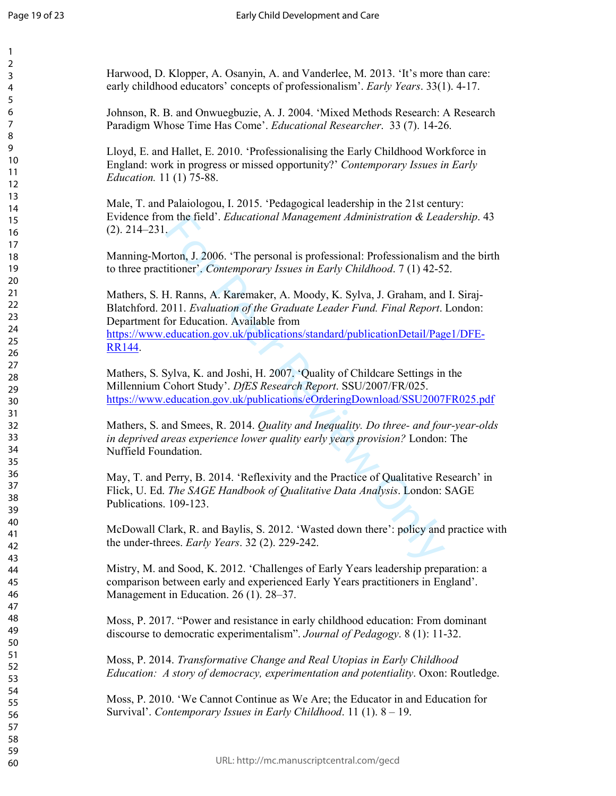$\mathbf{1}$  $\overline{2}$ 3  $\overline{4}$ 5 6  $\overline{7}$ 8 9

m the field'. *Educational Management Administration & Lead*<br>
For Peers, 1.2006. 'The personal is professional: Professionalism a<br>
ditioner', *Contemporary Issues in Early Childhood*. 7 (1) 42-5:<br>
H. Ranns, A. Karemaker, A Harwood, D. Klopper, A. Osanyin, A. and Vanderlee, M. 2013. 'It's more than care: early childhood educators' concepts of professionalism'. *Early Years*. 33(1). 4-17. Johnson, R. B. and Onwuegbuzie, A. J. 2004. 'Mixed Methods Research: A Research Paradigm Whose Time Has Come'. *Educational Researcher*. 33 (7). 14-26. Lloyd, E. and Hallet, E. 2010. 'Professionalising the Early Childhood Workforce in England: work in progress or missed opportunity?' *Contemporary Issues in Early Education.* 11 (1) 75-88. Male, T. and Palaiologou, I. 2015. 'Pedagogical leadership in the 21st century: Evidence from the field'. *Educational Management Administration & Leadership*. 43 (2). 214–231. Manning-Morton, J. 2006. 'The personal is professional: Professionalism and the birth to three practitioner'. *Contemporary Issues in Early Childhood*. 7 (1) 42-52. Mathers, S. H. Ranns, A. Karemaker, A. Moody, K. Sylva, J. Graham, and I. Siraj-Blatchford. 2011. *Evaluation of the Graduate Leader Fund. Final Report*. London: Department for Education. Available from https://www.education.gov.uk/publications/standard/publicationDetail/Page1/DFE-RR144. Mathers, S. Sylva, K. and Joshi, H. 2007. 'Quality of Childcare Settings in the Millennium Cohort Study'. *DfES Research Report*. SSU/2007/FR/025. https://www.education.gov.uk/publications/eOrderingDownload/SSU2007FR025.pdf Mathers, S. and Smees, R. 2014. *Quality and Inequality. Do three- and four-year-olds in deprived areas experience lower quality early years provision?* London: The Nuffield Foundation. May, T. and Perry, B. 2014. 'Reflexivity and the Practice of Qualitative Research' in Flick, U. Ed. *The SAGE Handbook of Qualitative Data Analysis*. London: SAGE Publications. 109-123. McDowall Clark, R. and Baylis, S. 2012. 'Wasted down there': policy and practice with the under-threes. *Early Years*. 32 (2). 229-242. Mistry, M. and Sood, K. 2012. 'Challenges of Early Years leadership preparation: a comparison between early and experienced Early Years practitioners in England'. Management in Education. 26 (1). 28–37. Moss, P. 2017. "Power and resistance in early childhood education: From dominant discourse to democratic experimentalism". *Journal of Pedagogy*. 8 (1): 11-32. Moss, P. 2014. *Transformative Change and Real Utopias in Early Childhood Education: A story of democracy, experimentation and potentiality*. Oxon: Routledge. Moss, P. 2010. 'We Cannot Continue as We Are; the Educator in and Education for Survival'. *Contemporary Issues in Early Childhood*. 11 (1). 8 – 19.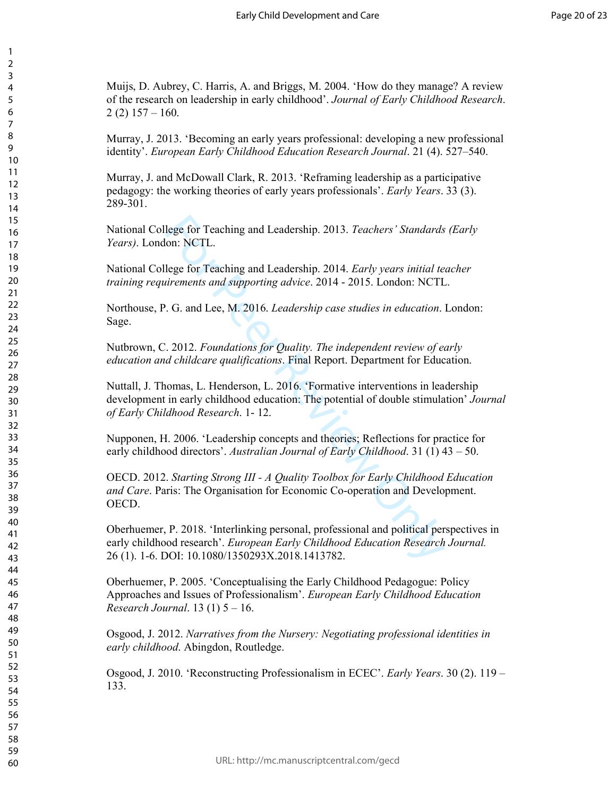Muijs, D. Aubrey, C. Harris, A. and Briggs, M. 2004. 'How do they manage? A review of the research on leadership in early childhood'. *Journal of Early Childhood Research*.  $2(2)$  157 – 160.

123456789

Murray, J. 2013. 'Becoming an early years professional: developing a new professional identity'. *European Early Childhood Education Research Journal*. 21 (4). 527–540.

Murray, J. and McDowall Clark, R. 2013. 'Reframing leadership as a participative pedagogy: the working theories of early years professionals'. *Early Years*. 33 (3). 289-301.

National College for Teaching and Leadership. 2013. *Teachers' Standards (Early Years)*. London: NCTL.

National College for Teaching and Leadership. 2014. *Early years initial teacher training requirements and supporting advice*. 2014 - 2015. London: NCTL.

Northouse, P. G. and Lee, M. 2016. *Leadership case studies in education*. London: Sage.

Nutbrown, C. 2012. *Foundations for Quality. The independent review of early education and childcare qualifications*. Final Report. Department for Education.

lege for Teaching and Leadership. 2013. *Teachers' Standards*<br>on: NCTL.<br>lege for Teaching and Leadership. 2014. *Early years initial te*<br>*irements and supporting advice.* 2014 - 2015. London: NCTL<br>. G. and Lee, M. 2016. *L* Nuttall, J. Thomas, L. Henderson, L. 2016. 'Formative interventions in leadership development in early childhood education: The potential of double stimulation' *Journal of Early Childhood Research*. 1- 12.

Nupponen, H. 2006. 'Leadership concepts and theories; Reflections for practice for early childhood directors'. *Australian Journal of Early Childhood*. 31 (1) 43 – 50.

OECD. 2012. *Starting Strong III - A Quality Toolbox for Early Childhood Education and Care*. Paris: The Organisation for Economic Co-operation and Development. OECD.

Oberhuemer, P. 2018. 'Interlinking personal, professional and political perspectives in early childhood research'. *European Early Childhood Education Research Journal.* 26 (1). 1-6. DOI: 10.1080/1350293X.2018.1413782.

Oberhuemer, P. 2005. 'Conceptualising the Early Childhood Pedagogue: Policy Approaches and Issues of Professionalism'. *European Early Childhood Education Research Journal*. 13 (1) 5 – 16.

Osgood, J. 2012. *Narratives from the Nursery: Negotiating professional identities in early childhood*. Abingdon, Routledge.

Osgood, J. 2010. 'Reconstructing Professionalism in ECEC'. *Early Years*. 30 (2). 119 – 133.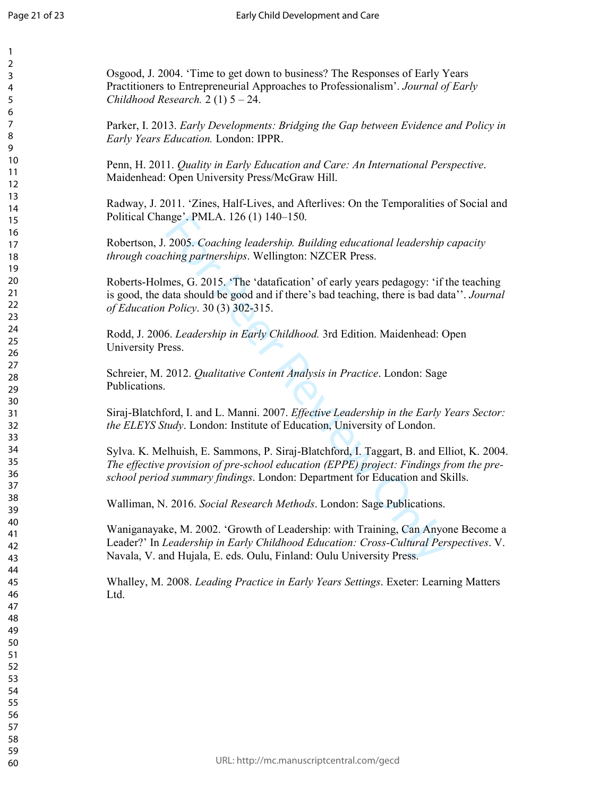| 1<br>2<br>3<br>4<br>5<br>6                                     |  |
|----------------------------------------------------------------|--|
| 7<br>8<br>9<br>10<br>11<br>$\overline{12}$                     |  |
| 13<br>14<br>15<br>16<br>17<br>18                               |  |
| 19<br>20<br>$\overline{21}$<br>$\overline{2}$<br>23<br>$^{24}$ |  |
| 25<br>26<br>27<br>28<br>29<br>30                               |  |
| 31<br>32<br>33<br>34<br>35<br>36                               |  |
| 37<br>38<br>39<br>40<br>41<br>42                               |  |
| 43<br>44<br>45<br>46<br>47<br>48                               |  |
| 49<br>50<br>51<br>52<br>53<br>54                               |  |
| 55<br>56<br>57<br>58<br>59                                     |  |

Osgood, J. 2004. 'Time to get down to business? The Responses of Early Years Practitioners to Entrepreneurial Approaches to Professionalism'. *Journal of Early Childhood Research.* 2 (1) 5 – 24.

Parker, I. 2013. *Early Developments: Bridging the Gap between Evidence and Policy in Early Years Education.* London: IPPR.

Penn, H. 2011. *Quality in Early Education and Care: An International Perspective*. Maidenhead: Open University Press/McGraw Hill.

Radway, J. 2011. 'Zines, Half-Lives, and Afterlives: On the Temporalities of Social and Political Change'. PMLA. 126 (1) 140–150.

Robertson, J. 2005. *Coaching leadership. Building educational leadership capacity through coaching partnerships*. Wellington: NZCER Press.

nge". PMLA. 126 (1) 140–150.<br>
2005. *Coaching leadership. Building educational leadership*<br> *hing partnerships.* Wellington: NZCER Press.<br>
mes, G. 2015. "The 'datafication' of early years pedagogy: 'if<br> *Policy.* 30 (3) 30 Roberts-Holmes, G. 2015. 'The 'datafication' of early years pedagogy: 'if the teaching is good, the data should be good and if there's bad teaching, there is bad data''. *Journal of Education Policy*. 30 (3) 302-315.

Rodd, J. 2006. *Leadership in Early Childhood.* 3rd Edition. Maidenhead: Open University Press.

Schreier, M. 2012. *Qualitative Content Analysis in Practice*. London: Sage Publications.

Siraj-Blatchford, I. and L. Manni. 2007. *Effective Leadership in the Early Years Sector: the ELEYS Study*. London: Institute of Education, University of London.

Sylva. K. Melhuish, E. Sammons, P. Siraj-Blatchford, I. Taggart, B. and Elliot, K. 2004. *The effective provision of pre-school education (EPPE) project: Findings from the preschool period summary findings*. London: Department for Education and Skills.

Walliman, N. 2016. *Social Research Methods*. London: Sage Publications.

Waniganayake, M. 2002. 'Growth of Leadership: with Training, Can Anyone Become a Leader?' In *Leadership in Early Childhood Education: Cross-Cultural Perspectives*. V. Navala, V. and Hujala, E. eds. Oulu, Finland: Oulu University Press.

Whalley, M. 2008. *Leading Practice in Early Years Settings*. Exeter: Learning Matters Ltd.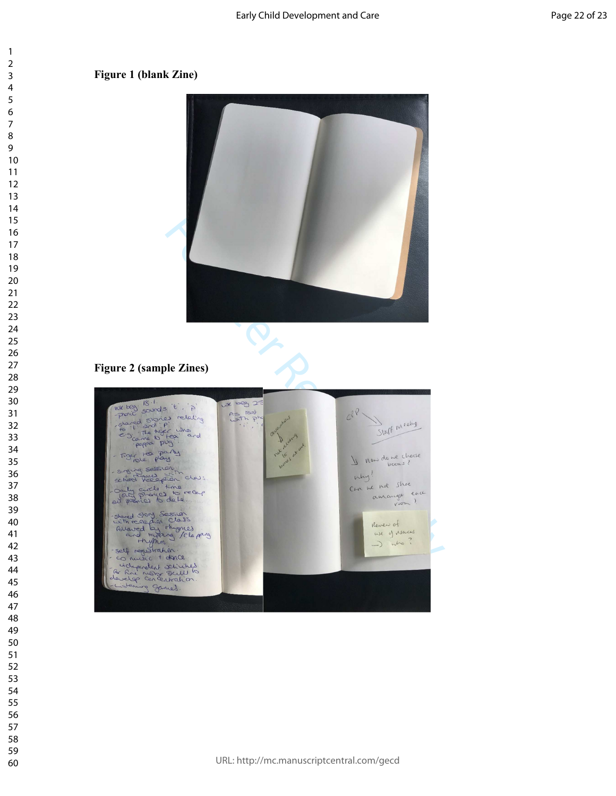## **Figure 1 (blank Zine)**



# **Figure 2 (sample Zines)**

![](_page_22_Picture_5.jpeg)